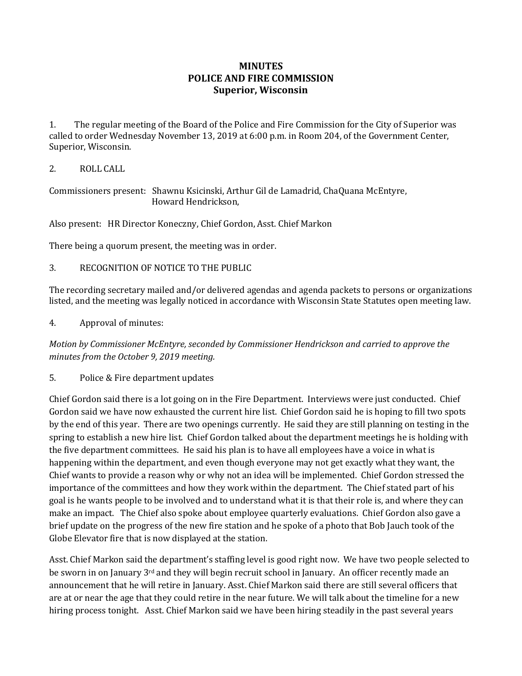## **MINUTES POLICE AND FIRE COMMISSION Superior, Wisconsin**

1. The regular meeting of the Board of the Police and Fire Commission for the City of Superior was called to order Wednesday November 13, 2019 at 6:00 p.m. in Room 204, of the Government Center, Superior, Wisconsin.

2. ROLL CALL

Commissioners present: Shawnu Ksicinski, Arthur Gil de Lamadrid, ChaQuana McEntyre, Howard Hendrickson,

Also present: HR Director Koneczny, Chief Gordon, Asst. Chief Markon

There being a quorum present, the meeting was in order.

3. RECOGNITION OF NOTICE TO THE PUBLIC

The recording secretary mailed and/or delivered agendas and agenda packets to persons or organizations listed, and the meeting was legally noticed in accordance with Wisconsin State Statutes open meeting law.

4. Approval of minutes:

*Motion by Commissioner McEntyre, seconded by Commissioner Hendrickson and carried to approve the minutes from the October 9, 2019 meeting.* 

5. Police & Fire department updates

Chief Gordon said there is a lot going on in the Fire Department. Interviews were just conducted. Chief Gordon said we have now exhausted the current hire list. Chief Gordon said he is hoping to fill two spots by the end of this year. There are two openings currently. He said they are still planning on testing in the spring to establish a new hire list. Chief Gordon talked about the department meetings he is holding with the five department committees. He said his plan is to have all employees have a voice in what is happening within the department, and even though everyone may not get exactly what they want, the Chief wants to provide a reason why or why not an idea will be implemented. Chief Gordon stressed the importance of the committees and how they work within the department. The Chief stated part of his goal is he wants people to be involved and to understand what it is that their role is, and where they can make an impact. The Chief also spoke about employee quarterly evaluations. Chief Gordon also gave a brief update on the progress of the new fire station and he spoke of a photo that Bob Jauch took of the Globe Elevator fire that is now displayed at the station.

Asst. Chief Markon said the department's staffing level is good right now. We have two people selected to be sworn in on January 3<sup>rd</sup> and they will begin recruit school in January. An officer recently made an announcement that he will retire in January. Asst. Chief Markon said there are still several officers that are at or near the age that they could retire in the near future. We will talk about the timeline for a new hiring process tonight. Asst. Chief Markon said we have been hiring steadily in the past several years